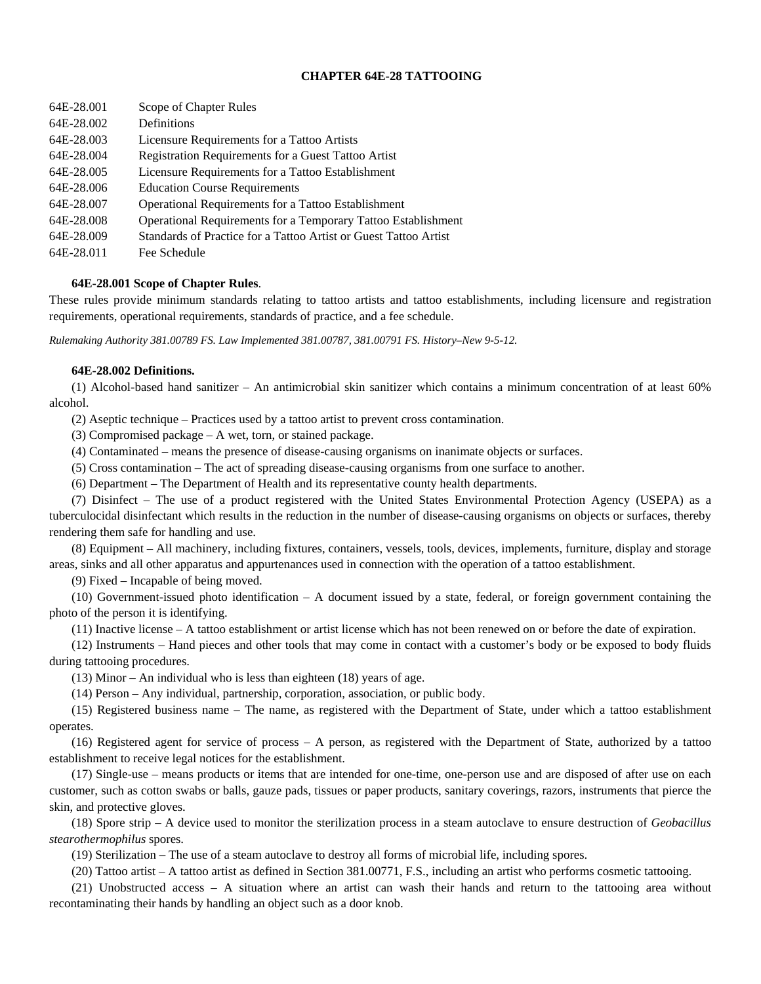# **CHAPTER 64E-28 TATTOOING**

| 64E-28.001 | Scope of Chapter Rules                                           |
|------------|------------------------------------------------------------------|
| 64E-28.002 | Definitions                                                      |
| 64E-28.003 | Licensure Requirements for a Tattoo Artists                      |
| 64E-28.004 | Registration Requirements for a Guest Tattoo Artist              |
| 64E-28.005 | Licensure Requirements for a Tattoo Establishment                |
| 64E-28.006 | <b>Education Course Requirements</b>                             |
| 64E-28.007 | Operational Requirements for a Tattoo Establishment              |
| 64E-28.008 | Operational Requirements for a Temporary Tattoo Establishment    |
| 64E-28.009 | Standards of Practice for a Tattoo Artist or Guest Tattoo Artist |
| 64E-28.011 | Fee Schedule                                                     |

## **64E-28.001 Scope of Chapter Rules**.

These rules provide minimum standards relating to tattoo artists and tattoo establishments, including licensure and registration requirements, operational requirements, standards of practice, and a fee schedule.

*Rulemaking Authority 381.00789 FS. Law Implemented 381.00787, 381.00791 FS. History–New 9-5-12.* 

### **64E-28.002 Definitions.**

(1) Alcohol-based hand sanitizer – An antimicrobial skin sanitizer which contains a minimum concentration of at least 60% alcohol.

(2) Aseptic technique – Practices used by a tattoo artist to prevent cross contamination.

(3) Compromised package – A wet, torn, or stained package.

(4) Contaminated – means the presence of disease-causing organisms on inanimate objects or surfaces.

(5) Cross contamination – The act of spreading disease-causing organisms from one surface to another.

(6) Department – The Department of Health and its representative county health departments.

(7) Disinfect – The use of a product registered with the United States Environmental Protection Agency (USEPA) as a tuberculocidal disinfectant which results in the reduction in the number of disease-causing organisms on objects or surfaces, thereby rendering them safe for handling and use.

(8) Equipment – All machinery, including fixtures, containers, vessels, tools, devices, implements, furniture, display and storage areas, sinks and all other apparatus and appurtenances used in connection with the operation of a tattoo establishment.

(9) Fixed – Incapable of being moved.

(10) Government-issued photo identification – A document issued by a state, federal, or foreign government containing the photo of the person it is identifying.

(11) Inactive license – A tattoo establishment or artist license which has not been renewed on or before the date of expiration.

(12) Instruments – Hand pieces and other tools that may come in contact with a customer's body or be exposed to body fluids during tattooing procedures.

(13) Minor – An individual who is less than eighteen (18) years of age.

(14) Person – Any individual, partnership, corporation, association, or public body.

(15) Registered business name – The name, as registered with the Department of State, under which a tattoo establishment operates.

(16) Registered agent for service of process – A person, as registered with the Department of State, authorized by a tattoo establishment to receive legal notices for the establishment.

(17) Single-use – means products or items that are intended for one-time, one-person use and are disposed of after use on each customer, such as cotton swabs or balls, gauze pads, tissues or paper products, sanitary coverings, razors, instruments that pierce the skin, and protective gloves.

(18) Spore strip – A device used to monitor the sterilization process in a steam autoclave to ensure destruction of *Geobacillus stearothermophilus* spores.

(19) Sterilization – The use of a steam autoclave to destroy all forms of microbial life, including spores.

(20) Tattoo artist – A tattoo artist as defined in Section 381.00771, F.S., including an artist who performs cosmetic tattooing.

(21) Unobstructed access – A situation where an artist can wash their hands and return to the tattooing area without recontaminating their hands by handling an object such as a door knob.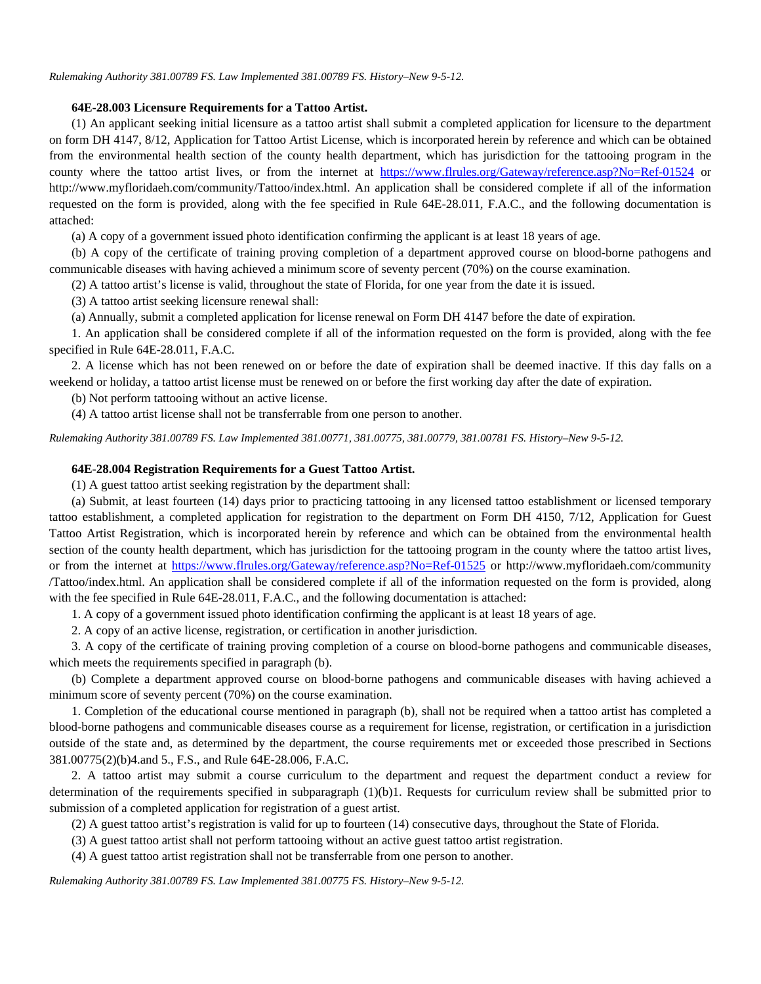### **64E-28.003 Licensure Requirements for a Tattoo Artist.**

(1) An applicant seeking initial licensure as a tattoo artist shall submit a completed application for licensure to the department on form DH 4147, 8/12, Application for Tattoo Artist License, which is incorporated herein by reference and which can be obtained from the environmental health section of the county health department, which has jurisdiction for the tattooing program in the county where the tattoo artist lives, or from the internet at [https://www.flrules.org/Gateway/reference.asp?No=Ref-01524](https://www.flrules.org/Gateway/reference.asp?No=Ref-01524%20) or http://www.myfloridaeh.com/community/Tattoo/index.html. An application shall be considered complete if all of the information requested on the form is provided, along with the fee specified in Rule 64E-28.011, F.A.C., and the following documentation is attached:

(a) A copy of a government issued photo identification confirming the applicant is at least 18 years of age.

(b) A copy of the certificate of training proving completion of a department approved course on blood-borne pathogens and communicable diseases with having achieved a minimum score of seventy percent (70%) on the course examination.

(2) A tattoo artist's license is valid, throughout the state of Florida, for one year from the date it is issued.

(3) A tattoo artist seeking licensure renewal shall:

(a) Annually, submit a completed application for license renewal on Form DH 4147 before the date of expiration.

1. An application shall be considered complete if all of the information requested on the form is provided, along with the fee specified in Rule 64E-28.011, F.A.C.

2. A license which has not been renewed on or before the date of expiration shall be deemed inactive. If this day falls on a weekend or holiday, a tattoo artist license must be renewed on or before the first working day after the date of expiration.

(b) Not perform tattooing without an active license.

(4) A tattoo artist license shall not be transferrable from one person to another.

*Rulemaking Authority 381.00789 FS. Law Implemented 381.00771, 381.00775, 381.00779, 381.00781 FS. History–New 9-5-12.* 

### **64E-28.004 Registration Requirements for a Guest Tattoo Artist.**

(1) A guest tattoo artist seeking registration by the department shall:

(a) Submit, at least fourteen (14) days prior to practicing tattooing in any licensed tattoo establishment or licensed temporary tattoo establishment, a completed application for registration to the department on Form DH 4150, 7/12, Application for Guest Tattoo Artist Registration, which is incorporated herein by reference and which can be obtained from the environmental health section of the county health department, which has jurisdiction for the tattooing program in the county where the tattoo artist lives, or from the internet at [https://www.flrules.org/Gateway/reference.asp?No=Ref-01525](https://www.flrules.org/Gateway/reference.asp?No=Ref-01525%20) or <http://www.myfloridaeh.com/community> /Tattoo/index.html. An application shall be considered complete if all of the information requested on the form is provided, along with the fee specified in Rule 64E-28.011, F.A.C., and the following documentation is attached:

1. A copy of a government issued photo identification confirming the applicant is at least 18 years of age.

2. A copy of an active license, registration, or certification in another jurisdiction.

3. A copy of the certificate of training proving completion of a course on blood-borne pathogens and communicable diseases, which meets the requirements specified in paragraph (b).

(b) Complete a department approved course on blood-borne pathogens and communicable diseases with having achieved a minimum score of seventy percent (70%) on the course examination.

1. Completion of the educational course mentioned in paragraph (b), shall not be required when a tattoo artist has completed a blood-borne pathogens and communicable diseases course as a requirement for license, registration, or certification in a jurisdiction outside of the state and, as determined by the department, the course requirements met or exceeded those prescribed in Sections 381.00775(2)(b)4.and 5., F.S., and Rule 64E-28.006, F.A.C.

2. A tattoo artist may submit a course curriculum to the department and request the department conduct a review for determination of the requirements specified in subparagraph (1)(b)1. Requests for curriculum review shall be submitted prior to submission of a completed application for registration of a guest artist.

(2) A guest tattoo artist's registration is valid for up to fourteen (14) consecutive days, throughout the State of Florida.

(3) A guest tattoo artist shall not perform tattooing without an active guest tattoo artist registration.

(4) A guest tattoo artist registration shall not be transferrable from one person to another.

*Rulemaking Authority 381.00789 FS. Law Implemented 381.00775 FS. History–New 9-5-12.*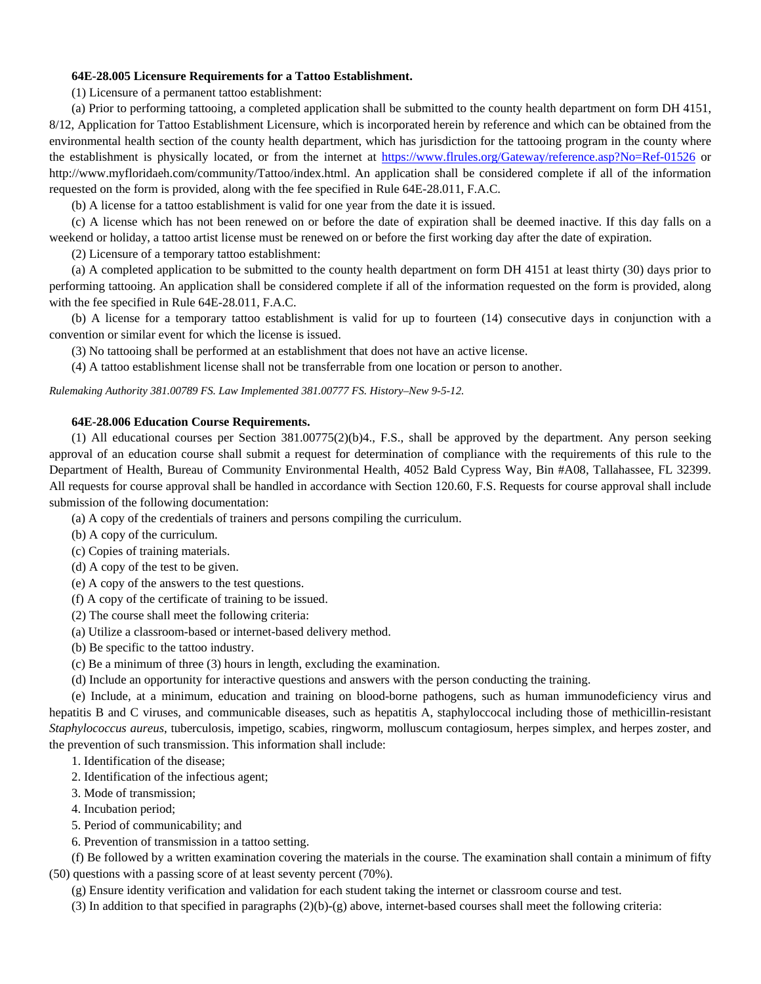## **64E-28.005 Licensure Requirements for a Tattoo Establishment.**

(1) Licensure of a permanent tattoo establishment:

(a) Prior to performing tattooing, a completed application shall be submitted to the county health department on form DH 4151, 8/12, Application for Tattoo Establishment Licensure, which is incorporated herein by reference and which can be obtained from the environmental health section of the county health department, which has jurisdiction for the tattooing program in the county where the establishment is physically located, or from the internet at [https://www.flrules.org/Gateway/reference.asp?No=Ref-01526](https://www.flrules.org/Gateway/reference.asp?No=Ref-01526%20) or http://www.myfloridaeh.com/community/Tattoo/index.html. An application shall be considered complete if all of the information requested on the form is provided, along with the fee specified in Rule 64E-28.011, F.A.C.

(b) A license for a tattoo establishment is valid for one year from the date it is issued.

(c) A license which has not been renewed on or before the date of expiration shall be deemed inactive. If this day falls on a weekend or holiday, a tattoo artist license must be renewed on or before the first working day after the date of expiration.

(2) Licensure of a temporary tattoo establishment:

(a) A completed application to be submitted to the county health department on form DH 4151 at least thirty (30) days prior to performing tattooing. An application shall be considered complete if all of the information requested on the form is provided, along with the fee specified in Rule 64E-28.011, F.A.C.

(b) A license for a temporary tattoo establishment is valid for up to fourteen (14) consecutive days in conjunction with a convention or similar event for which the license is issued.

(3) No tattooing shall be performed at an establishment that does not have an active license.

(4) A tattoo establishment license shall not be transferrable from one location or person to another.

*Rulemaking Authority 381.00789 FS. Law Implemented 381.00777 FS. History–New 9-5-12.* 

## **64E-28.006 Education Course Requirements.**

(1) All educational courses per Section 381.00775(2)(b)4., F.S., shall be approved by the department. Any person seeking approval of an education course shall submit a request for determination of compliance with the requirements of this rule to the Department of Health, Bureau of Community Environmental Health, 4052 Bald Cypress Way, Bin #A08, Tallahassee, FL 32399. All requests for course approval shall be handled in accordance with Section 120.60, F.S. Requests for course approval shall include submission of the following documentation:

(a) A copy of the credentials of trainers and persons compiling the curriculum.

- (b) A copy of the curriculum.
- (c) Copies of training materials.
- (d) A copy of the test to be given.
- (e) A copy of the answers to the test questions.
- (f) A copy of the certificate of training to be issued.
- (2) The course shall meet the following criteria:
- (a) Utilize a classroom-based or internet-based delivery method.
- (b) Be specific to the tattoo industry.
- (c) Be a minimum of three (3) hours in length, excluding the examination.
- (d) Include an opportunity for interactive questions and answers with the person conducting the training.

(e) Include, at a minimum, education and training on blood-borne pathogens, such as human immunodeficiency virus and hepatitis B and C viruses, and communicable diseases, such as hepatitis A, staphyloccocal including those of methicillin-resistant *Staphylococcus aureus*, tuberculosis, impetigo, scabies, ringworm, molluscum contagiosum, herpes simplex*,* and herpes zoster, and the prevention of such transmission. This information shall include:

1. Identification of the disease;

- 2. Identification of the infectious agent;
- 3. Mode of transmission;
- 4. Incubation period;
- 5. Period of communicability; and
- 6. Prevention of transmission in a tattoo setting.

(f) Be followed by a written examination covering the materials in the course. The examination shall contain a minimum of fifty (50) questions with a passing score of at least seventy percent (70%).

(g) Ensure identity verification and validation for each student taking the internet or classroom course and test.

 $(3)$  In addition to that specified in paragraphs  $(2)(b)-(g)$  above, internet-based courses shall meet the following criteria: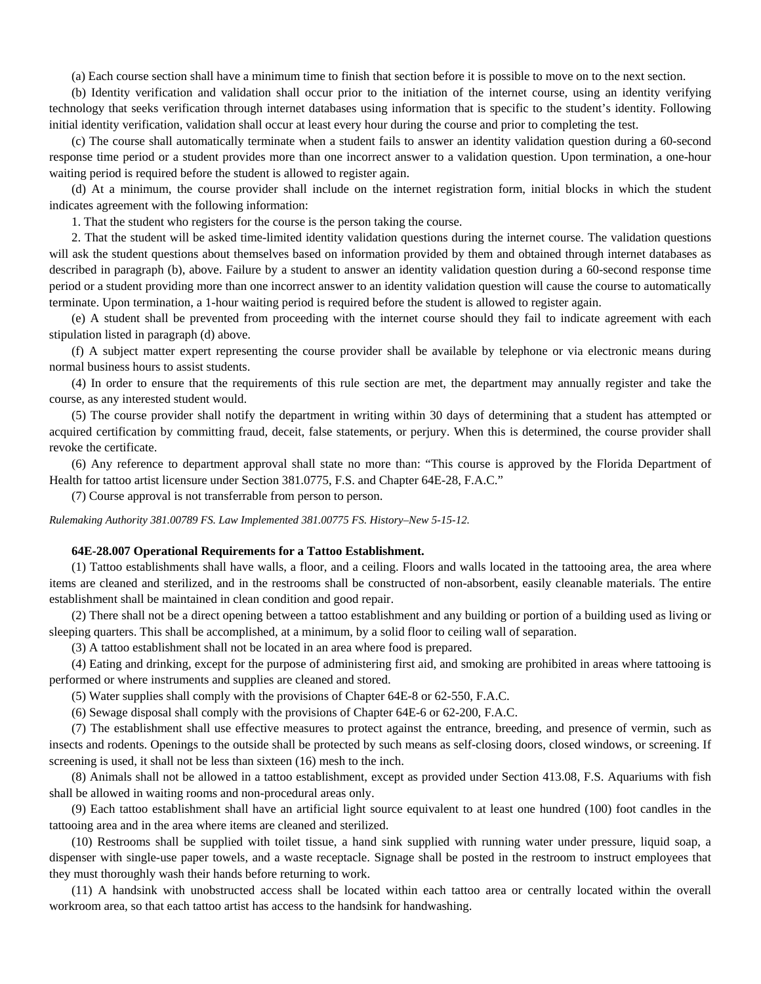(a) Each course section shall have a minimum time to finish that section before it is possible to move on to the next section.

(b) Identity verification and validation shall occur prior to the initiation of the internet course, using an identity verifying technology that seeks verification through internet databases using information that is specific to the student's identity. Following initial identity verification, validation shall occur at least every hour during the course and prior to completing the test.

(c) The course shall automatically terminate when a student fails to answer an identity validation question during a 60-second response time period or a student provides more than one incorrect answer to a validation question. Upon termination, a one-hour waiting period is required before the student is allowed to register again.

(d) At a minimum, the course provider shall include on the internet registration form, initial blocks in which the student indicates agreement with the following information:

1. That the student who registers for the course is the person taking the course.

2. That the student will be asked time-limited identity validation questions during the internet course. The validation questions will ask the student questions about themselves based on information provided by them and obtained through internet databases as described in paragraph (b), above. Failure by a student to answer an identity validation question during a 60-second response time period or a student providing more than one incorrect answer to an identity validation question will cause the course to automatically terminate. Upon termination, a 1-hour waiting period is required before the student is allowed to register again.

(e) A student shall be prevented from proceeding with the internet course should they fail to indicate agreement with each stipulation listed in paragraph (d) above.

(f) A subject matter expert representing the course provider shall be available by telephone or via electronic means during normal business hours to assist students.

(4) In order to ensure that the requirements of this rule section are met, the department may annually register and take the course, as any interested student would.

(5) The course provider shall notify the department in writing within 30 days of determining that a student has attempted or acquired certification by committing fraud, deceit, false statements, or perjury. When this is determined, the course provider shall revoke the certificate.

(6) Any reference to department approval shall state no more than: "This course is approved by the Florida Department of Health for tattoo artist licensure under Section 381.0775, F.S. and Chapter 64E-28, F.A.C."

(7) Course approval is not transferrable from person to person.

*Rulemaking Authority 381.00789 FS. Law Implemented 381.00775 FS. History–New 5-15-12.* 

### **64E-28.007 Operational Requirements for a Tattoo Establishment.**

(1) Tattoo establishments shall have walls, a floor, and a ceiling. Floors and walls located in the tattooing area, the area where items are cleaned and sterilized, and in the restrooms shall be constructed of non-absorbent, easily cleanable materials. The entire establishment shall be maintained in clean condition and good repair.

(2) There shall not be a direct opening between a tattoo establishment and any building or portion of a building used as living or sleeping quarters. This shall be accomplished, at a minimum, by a solid floor to ceiling wall of separation.

(3) A tattoo establishment shall not be located in an area where food is prepared.

(4) Eating and drinking, except for the purpose of administering first aid, and smoking are prohibited in areas where tattooing is performed or where instruments and supplies are cleaned and stored.

(5) Water supplies shall comply with the provisions of Chapter 64E-8 or 62-550, F.A.C.

(6) Sewage disposal shall comply with the provisions of Chapter 64E-6 or 62-200, F.A.C.

(7) The establishment shall use effective measures to protect against the entrance, breeding, and presence of vermin, such as insects and rodents. Openings to the outside shall be protected by such means as self-closing doors, closed windows, or screening. If screening is used, it shall not be less than sixteen (16) mesh to the inch.

(8) Animals shall not be allowed in a tattoo establishment, except as provided under Section 413.08, F.S. Aquariums with fish shall be allowed in waiting rooms and non-procedural areas only.

(9) Each tattoo establishment shall have an artificial light source equivalent to at least one hundred (100) foot candles in the tattooing area and in the area where items are cleaned and sterilized.

(10) Restrooms shall be supplied with toilet tissue, a hand sink supplied with running water under pressure, liquid soap, a dispenser with single-use paper towels, and a waste receptacle. Signage shall be posted in the restroom to instruct employees that they must thoroughly wash their hands before returning to work.

(11) A handsink with unobstructed access shall be located within each tattoo area or centrally located within the overall workroom area, so that each tattoo artist has access to the handsink for handwashing.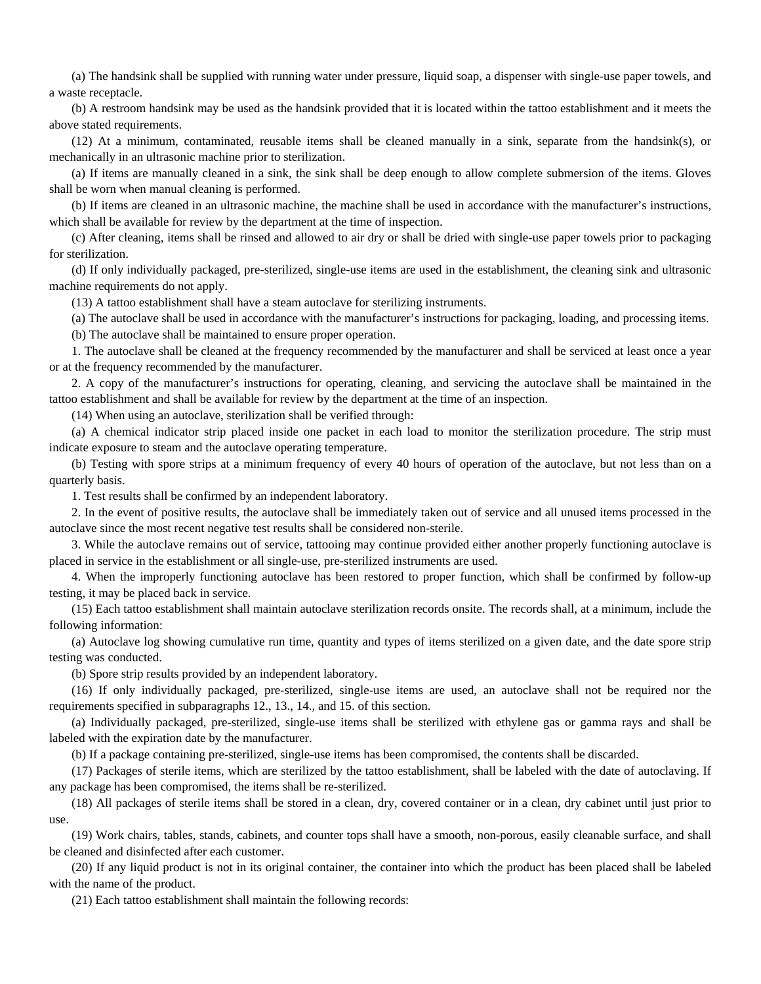(a) The handsink shall be supplied with running water under pressure, liquid soap, a dispenser with single-use paper towels, and a waste receptacle.

(b) A restroom handsink may be used as the handsink provided that it is located within the tattoo establishment and it meets the above stated requirements.

(12) At a minimum, contaminated, reusable items shall be cleaned manually in a sink, separate from the handsink(s), or mechanically in an ultrasonic machine prior to sterilization.

(a) If items are manually cleaned in a sink, the sink shall be deep enough to allow complete submersion of the items. Gloves shall be worn when manual cleaning is performed.

(b) If items are cleaned in an ultrasonic machine, the machine shall be used in accordance with the manufacturer's instructions, which shall be available for review by the department at the time of inspection.

(c) After cleaning, items shall be rinsed and allowed to air dry or shall be dried with single-use paper towels prior to packaging for sterilization.

(d) If only individually packaged, pre-sterilized, single-use items are used in the establishment, the cleaning sink and ultrasonic machine requirements do not apply.

(13) A tattoo establishment shall have a steam autoclave for sterilizing instruments.

(a) The autoclave shall be used in accordance with the manufacturer's instructions for packaging, loading, and processing items.

(b) The autoclave shall be maintained to ensure proper operation.

1. The autoclave shall be cleaned at the frequency recommended by the manufacturer and shall be serviced at least once a year or at the frequency recommended by the manufacturer.

2. A copy of the manufacturer's instructions for operating, cleaning, and servicing the autoclave shall be maintained in the tattoo establishment and shall be available for review by the department at the time of an inspection.

(14) When using an autoclave, sterilization shall be verified through:

(a) A chemical indicator strip placed inside one packet in each load to monitor the sterilization procedure. The strip must indicate exposure to steam and the autoclave operating temperature.

(b) Testing with spore strips at a minimum frequency of every 40 hours of operation of the autoclave, but not less than on a quarterly basis.

1. Test results shall be confirmed by an independent laboratory.

2. In the event of positive results, the autoclave shall be immediately taken out of service and all unused items processed in the autoclave since the most recent negative test results shall be considered non-sterile.

3. While the autoclave remains out of service, tattooing may continue provided either another properly functioning autoclave is placed in service in the establishment or all single-use, pre-sterilized instruments are used.

4. When the improperly functioning autoclave has been restored to proper function, which shall be confirmed by follow-up testing, it may be placed back in service.

(15) Each tattoo establishment shall maintain autoclave sterilization records onsite. The records shall, at a minimum, include the following information:

(a) Autoclave log showing cumulative run time, quantity and types of items sterilized on a given date, and the date spore strip testing was conducted.

(b) Spore strip results provided by an independent laboratory.

(16) If only individually packaged, pre-sterilized, single-use items are used, an autoclave shall not be required nor the requirements specified in subparagraphs 12., 13., 14., and 15. of this section.

(a) Individually packaged, pre-sterilized, single-use items shall be sterilized with ethylene gas or gamma rays and shall be labeled with the expiration date by the manufacturer.

(b) If a package containing pre-sterilized, single-use items has been compromised, the contents shall be discarded.

(17) Packages of sterile items, which are sterilized by the tattoo establishment, shall be labeled with the date of autoclaving. If any package has been compromised, the items shall be re-sterilized.

(18) All packages of sterile items shall be stored in a clean, dry, covered container or in a clean, dry cabinet until just prior to use.

(19) Work chairs, tables, stands, cabinets, and counter tops shall have a smooth, non-porous, easily cleanable surface, and shall be cleaned and disinfected after each customer.

(20) If any liquid product is not in its original container, the container into which the product has been placed shall be labeled with the name of the product.

(21) Each tattoo establishment shall maintain the following records: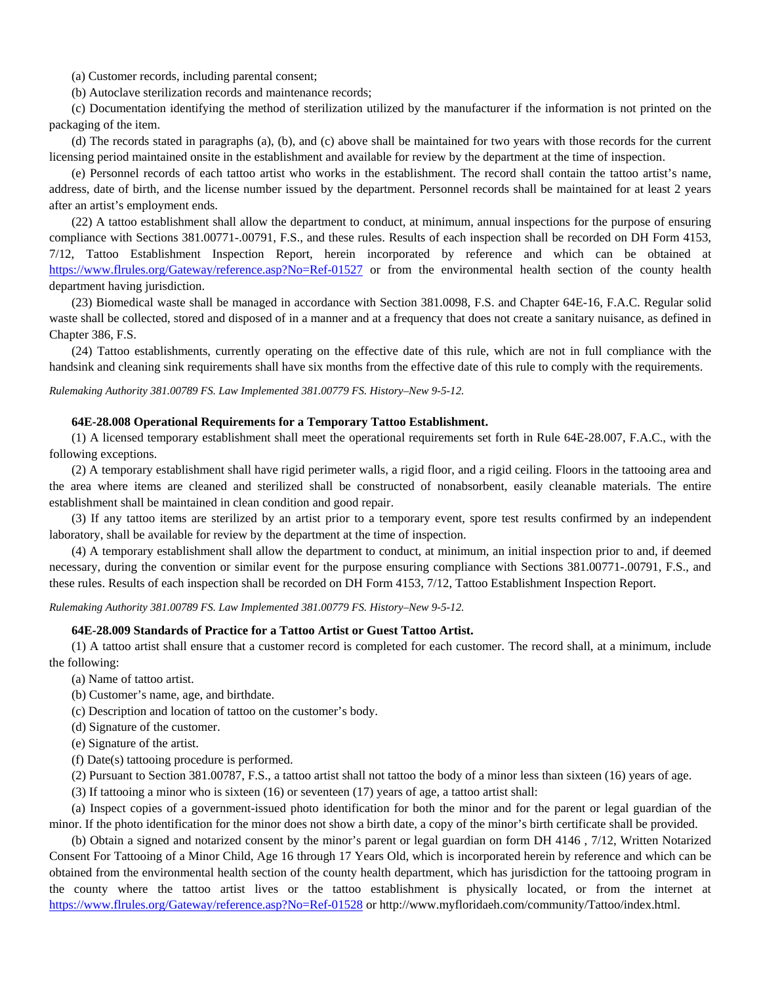(a) Customer records, including parental consent;

(b) Autoclave sterilization records and maintenance records;

(c) Documentation identifying the method of sterilization utilized by the manufacturer if the information is not printed on the packaging of the item.

(d) The records stated in paragraphs (a), (b), and (c) above shall be maintained for two years with those records for the current licensing period maintained onsite in the establishment and available for review by the department at the time of inspection.

(e) Personnel records of each tattoo artist who works in the establishment. The record shall contain the tattoo artist's name, address, date of birth, and the license number issued by the department. Personnel records shall be maintained for at least 2 years after an artist's employment ends.

(22) A tattoo establishment shall allow the department to conduct, at minimum, annual inspections for the purpose of ensuring compliance with Sections 381.00771-.00791, F.S., and these rules. Results of each inspection shall be recorded on DH Form 4153, 7/12, Tattoo Establishment Inspection Report, herein incorporated by reference and which can be obtained at [https://www.flrules.org/Gateway/reference.asp?No=Ref-01527](https://www.flrules.org/Gateway/reference.asp?No=Ref-01527%20) or from the environmental health section of the county health department having jurisdiction.

(23) Biomedical waste shall be managed in accordance with Section 381.0098, F.S. and Chapter 64E-16, F.A.C. Regular solid waste shall be collected, stored and disposed of in a manner and at a frequency that does not create a sanitary nuisance, as defined in Chapter 386, F.S.

(24) Tattoo establishments, currently operating on the effective date of this rule, which are not in full compliance with the handsink and cleaning sink requirements shall have six months from the effective date of this rule to comply with the requirements.

*Rulemaking Authority 381.00789 FS. Law Implemented 381.00779 FS. History–New 9-5-12.* 

#### **64E-28.008 Operational Requirements for a Temporary Tattoo Establishment.**

(1) A licensed temporary establishment shall meet the operational requirements set forth in Rule 64E-28.007, F.A.C., with the following exceptions.

(2) A temporary establishment shall have rigid perimeter walls, a rigid floor, and a rigid ceiling. Floors in the tattooing area and the area where items are cleaned and sterilized shall be constructed of nonabsorbent, easily cleanable materials. The entire establishment shall be maintained in clean condition and good repair.

(3) If any tattoo items are sterilized by an artist prior to a temporary event, spore test results confirmed by an independent laboratory, shall be available for review by the department at the time of inspection.

(4) A temporary establishment shall allow the department to conduct, at minimum, an initial inspection prior to and, if deemed necessary, during the convention or similar event for the purpose ensuring compliance with Sections 381.00771-.00791, F.S., and these rules. Results of each inspection shall be recorded on DH Form 4153, 7/12, Tattoo Establishment Inspection Report.

*Rulemaking Authority 381.00789 FS. Law Implemented 381.00779 FS. History–New 9-5-12.* 

### **64E-28.009 Standards of Practice for a Tattoo Artist or Guest Tattoo Artist.**

(1) A tattoo artist shall ensure that a customer record is completed for each customer. The record shall, at a minimum, include the following:

(a) Name of tattoo artist.

(b) Customer's name, age, and birthdate.

(c) Description and location of tattoo on the customer's body.

(d) Signature of the customer.

(e) Signature of the artist.

(f) Date(s) tattooing procedure is performed.

(2) Pursuant to Section 381.00787, F.S., a tattoo artist shall not tattoo the body of a minor less than sixteen (16) years of age.

(3) If tattooing a minor who is sixteen (16) or seventeen (17) years of age, a tattoo artist shall:

(a) Inspect copies of a government-issued photo identification for both the minor and for the parent or legal guardian of the minor. If the photo identification for the minor does not show a birth date, a copy of the minor's birth certificate shall be provided.

(b) Obtain a signed and notarized consent by the minor's parent or legal guardian on form DH 4146 , 7/12, Written Notarized Consent For Tattooing of a Minor Child, Age 16 through 17 Years Old, which is incorporated herein by reference and which can be obtained from the environmental health section of the county health department, which has jurisdiction for the tattooing program in the county where the tattoo artist lives or the tattoo establishment is physically located, or from the internet at [https://www.flrules.org/Gateway/reference.asp?No=Ref-01528](https://www.flrules.org/Gateway/reference.asp?No=Ref-01528%20) or<http://www.myfloridaeh.com/community/Tattoo/index.html>.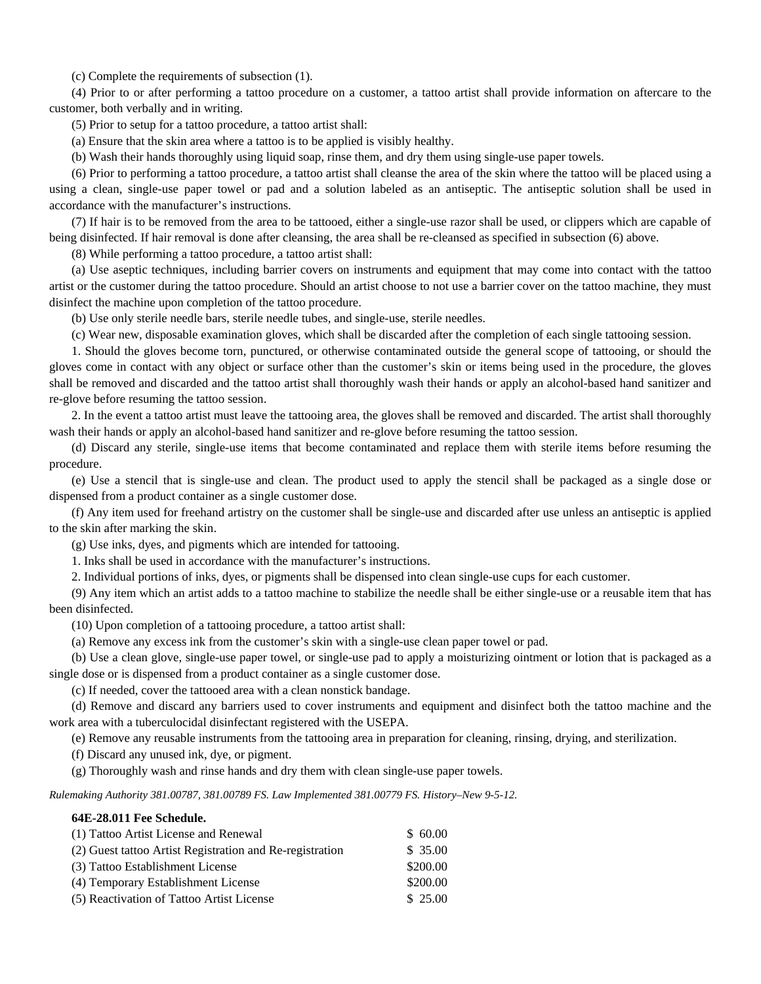(c) Complete the requirements of subsection (1).

(4) Prior to or after performing a tattoo procedure on a customer, a tattoo artist shall provide information on aftercare to the customer, both verbally and in writing.

(5) Prior to setup for a tattoo procedure, a tattoo artist shall:

(a) Ensure that the skin area where a tattoo is to be applied is visibly healthy.

(b) Wash their hands thoroughly using liquid soap, rinse them, and dry them using single-use paper towels.

(6) Prior to performing a tattoo procedure, a tattoo artist shall cleanse the area of the skin where the tattoo will be placed using a using a clean, single-use paper towel or pad and a solution labeled as an antiseptic. The antiseptic solution shall be used in accordance with the manufacturer's instructions.

(7) If hair is to be removed from the area to be tattooed, either a single-use razor shall be used, or clippers which are capable of being disinfected. If hair removal is done after cleansing, the area shall be re-cleansed as specified in subsection (6) above.

(8) While performing a tattoo procedure, a tattoo artist shall:

(a) Use aseptic techniques, including barrier covers on instruments and equipment that may come into contact with the tattoo artist or the customer during the tattoo procedure. Should an artist choose to not use a barrier cover on the tattoo machine, they must disinfect the machine upon completion of the tattoo procedure.

(b) Use only sterile needle bars, sterile needle tubes, and single-use, sterile needles.

(c) Wear new, disposable examination gloves, which shall be discarded after the completion of each single tattooing session.

1. Should the gloves become torn, punctured, or otherwise contaminated outside the general scope of tattooing, or should the gloves come in contact with any object or surface other than the customer's skin or items being used in the procedure, the gloves shall be removed and discarded and the tattoo artist shall thoroughly wash their hands or apply an alcohol-based hand sanitizer and re-glove before resuming the tattoo session.

2. In the event a tattoo artist must leave the tattooing area, the gloves shall be removed and discarded. The artist shall thoroughly wash their hands or apply an alcohol-based hand sanitizer and re-glove before resuming the tattoo session.

(d) Discard any sterile, single-use items that become contaminated and replace them with sterile items before resuming the procedure.

(e) Use a stencil that is single-use and clean. The product used to apply the stencil shall be packaged as a single dose or dispensed from a product container as a single customer dose.

(f) Any item used for freehand artistry on the customer shall be single-use and discarded after use unless an antiseptic is applied to the skin after marking the skin.

(g) Use inks, dyes, and pigments which are intended for tattooing.

1. Inks shall be used in accordance with the manufacturer's instructions.

2. Individual portions of inks, dyes, or pigments shall be dispensed into clean single-use cups for each customer.

(9) Any item which an artist adds to a tattoo machine to stabilize the needle shall be either single-use or a reusable item that has been disinfected.

(10) Upon completion of a tattooing procedure, a tattoo artist shall:

(a) Remove any excess ink from the customer's skin with a single-use clean paper towel or pad.

(b) Use a clean glove, single-use paper towel, or single-use pad to apply a moisturizing ointment or lotion that is packaged as a single dose or is dispensed from a product container as a single customer dose.

(c) If needed, cover the tattooed area with a clean nonstick bandage.

(d) Remove and discard any barriers used to cover instruments and equipment and disinfect both the tattoo machine and the work area with a tuberculocidal disinfectant registered with the USEPA.

(e) Remove any reusable instruments from the tattooing area in preparation for cleaning, rinsing, drying, and sterilization.

(f) Discard any unused ink, dye, or pigment.

(g) Thoroughly wash and rinse hands and dry them with clean single-use paper towels.

*Rulemaking Authority 381.00787, 381.00789 FS. Law Implemented 381.00779 FS. History–New 9-5-12.* 

#### **64E-28.011 Fee Schedule.**

| (1) Tattoo Artist License and Renewal                    | \$60.00  |
|----------------------------------------------------------|----------|
| (2) Guest tattoo Artist Registration and Re-registration | \$35.00  |
| (3) Tattoo Establishment License                         | \$200.00 |
| (4) Temporary Establishment License                      | \$200.00 |
| (5) Reactivation of Tattoo Artist License                | \$25.00  |